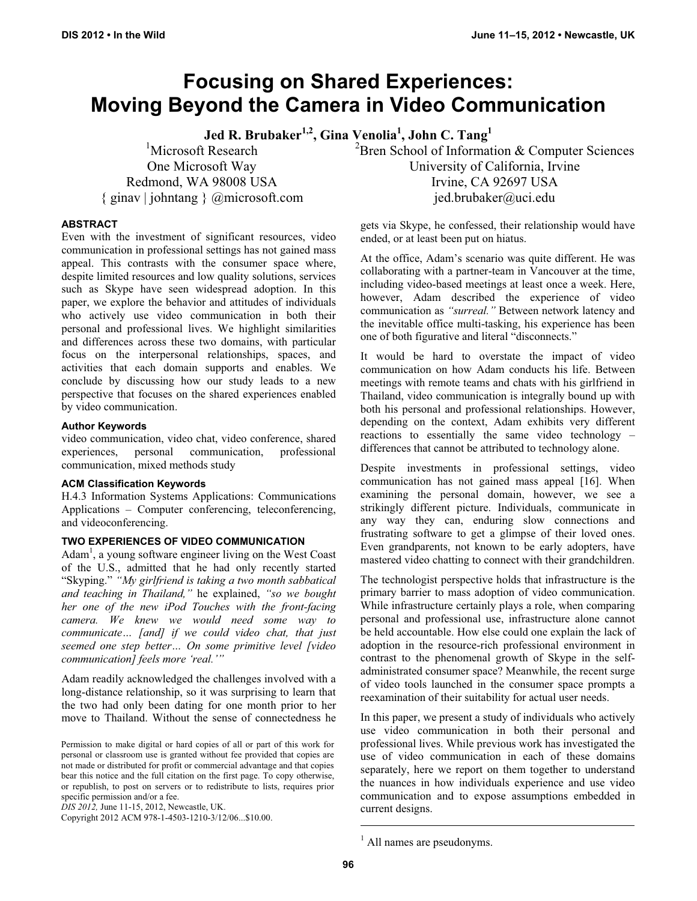# **Focusing on Shared Experiences: Moving Beyond the Camera in Video Communication**

**Jed R. Brubaker1,2, Gina Venolia1 , John C. Tang<sup>1</sup>**

<sup>1</sup>Microsoft Research One Microsoft Way Redmond, WA 98008 USA { ginav | johntang } @microsoft.com

**ABSTRACT** 

Even with the investment of significant resources, video communication in professional settings has not gained mass appeal. This contrasts with the consumer space where, despite limited resources and low quality solutions, services such as Skype have seen widespread adoption. In this paper, we explore the behavior and attitudes of individuals who actively use video communication in both their personal and professional lives. We highlight similarities and differences across these two domains, with particular focus on the interpersonal relationships, spaces, and activities that each domain supports and enables. We conclude by discussing how our study leads to a new perspective that focuses on the shared experiences enabled by video communication.

## **Author Keywords**

video communication, video chat, video conference, shared experiences, personal communication, professional communication, mixed methods study

## **ACM Classification Keywords**

H.4.3 Information Systems Applications: Communications Applications – Computer conferencing, teleconferencing, and videoconferencing.

# **TWO EXPERIENCES OF VIDEO COMMUNICATION**

Adam<sup>1</sup>, a young software engineer living on the West Coast of the U.S., admitted that he had only recently started "Skyping." *"My girlfriend is taking a two month sabbatical and teaching in Thailand,"* he explained, *"so we bought her one of the new iPod Touches with the front-facing camera. We knew we would need some way to communicate… [and] if we could video chat, that just seemed one step better… On some primitive level [video communication] feels more 'real.'"* 

Adam readily acknowledged the challenges involved with a long-distance relationship, so it was surprising to learn that the two had only been dating for one month prior to her move to Thailand. Without the sense of connectedness he

Copyright 2012 ACM 978-1-4503-1210-3/12/06...\$10.00.

<sup>2</sup> Bren School of Information & Computer Sciences University of California, Irvine Irvine, CA 92697 USA jed.brubaker@uci.edu

gets via Skype, he confessed, their relationship would have ended, or at least been put on hiatus.

At the office, Adam's scenario was quite different. He was collaborating with a partner-team in Vancouver at the time, including video-based meetings at least once a week. Here, however, Adam described the experience of video communication as *"surreal."* Between network latency and the inevitable office multi-tasking, his experience has been one of both figurative and literal "disconnects."

It would be hard to overstate the impact of video communication on how Adam conducts his life. Between meetings with remote teams and chats with his girlfriend in Thailand, video communication is integrally bound up with both his personal and professional relationships. However, depending on the context, Adam exhibits very different reactions to essentially the same video technology – differences that cannot be attributed to technology alone.

Despite investments in professional settings, video communication has not gained mass appeal [16]. When examining the personal domain, however, we see a strikingly different picture. Individuals, communicate in any way they can, enduring slow connections and frustrating software to get a glimpse of their loved ones. Even grandparents, not known to be early adopters, have mastered video chatting to connect with their grandchildren.

The technologist perspective holds that infrastructure is the primary barrier to mass adoption of video communication. While infrastructure certainly plays a role, when comparing personal and professional use, infrastructure alone cannot be held accountable. How else could one explain the lack of adoption in the resource-rich professional environment in contrast to the phenomenal growth of Skype in the selfadministrated consumer space? Meanwhile, the recent surge of video tools launched in the consumer space prompts a reexamination of their suitability for actual user needs.

In this paper, we present a study of individuals who actively use video communication in both their personal and professional lives. While previous work has investigated the use of video communication in each of these domains separately, here we report on them together to understand the nuances in how individuals experience and use video communication and to expose assumptions embedded in current designs.

Permission to make digital or hard copies of all or part of this work for personal or classroom use is granted without fee provided that copies are not made or distributed for profit or commercial advantage and that copies bear this notice and the full citation on the first page. To copy otherwise, or republish, to post on servers or to redistribute to lists, requires prior specific permission and/or a fee.

*DIS 2012,* June 11-15, 2012, Newcastle, UK.

<sup>&</sup>lt;sup>1</sup> All names are pseudonyms.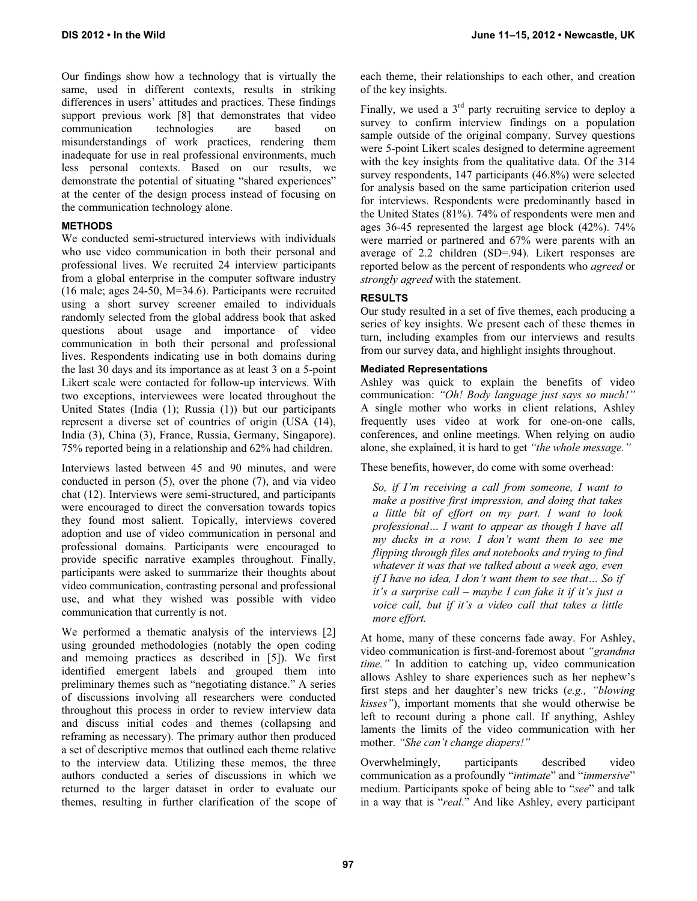Our findings show how a technology that is virtually the same, used in different contexts, results in striking differences in users' attitudes and practices. These findings support previous work [8] that demonstrates that video communication technologies are based on misunderstandings of work practices, rendering them inadequate for use in real professional environments, much less personal contexts. Based on our results, we demonstrate the potential of situating "shared experiences" at the center of the design process instead of focusing on the communication technology alone.

## **METHODS**

We conducted semi-structured interviews with individuals who use video communication in both their personal and professional lives. We recruited 24 interview participants from a global enterprise in the computer software industry (16 male; ages 24-50, M=34.6). Participants were recruited using a short survey screener emailed to individuals randomly selected from the global address book that asked questions about usage and importance of video communication in both their personal and professional lives. Respondents indicating use in both domains during the last 30 days and its importance as at least 3 on a 5-point Likert scale were contacted for follow-up interviews. With two exceptions, interviewees were located throughout the United States (India (1); Russia (1)) but our participants represent a diverse set of countries of origin (USA (14), India (3), China (3), France, Russia, Germany, Singapore). 75% reported being in a relationship and 62% had children.

Interviews lasted between 45 and 90 minutes, and were conducted in person (5), over the phone (7), and via video chat (12). Interviews were semi-structured, and participants were encouraged to direct the conversation towards topics they found most salient. Topically, interviews covered adoption and use of video communication in personal and professional domains. Participants were encouraged to provide specific narrative examples throughout. Finally, participants were asked to summarize their thoughts about video communication, contrasting personal and professional use, and what they wished was possible with video communication that currently is not.

We performed a thematic analysis of the interviews [2] using grounded methodologies (notably the open coding and memoing practices as described in [5]). We first identified emergent labels and grouped them into preliminary themes such as "negotiating distance." A series of discussions involving all researchers were conducted throughout this process in order to review interview data and discuss initial codes and themes (collapsing and reframing as necessary). The primary author then produced a set of descriptive memos that outlined each theme relative to the interview data. Utilizing these memos, the three authors conducted a series of discussions in which we returned to the larger dataset in order to evaluate our themes, resulting in further clarification of the scope of each theme, their relationships to each other, and creation of the key insights.

Finally, we used a  $3<sup>rd</sup>$  party recruiting service to deploy a survey to confirm interview findings on a population sample outside of the original company. Survey questions were 5-point Likert scales designed to determine agreement with the key insights from the qualitative data. Of the 314 survey respondents, 147 participants (46.8%) were selected for analysis based on the same participation criterion used for interviews. Respondents were predominantly based in the United States (81%). 74% of respondents were men and ages 36-45 represented the largest age block (42%). 74% were married or partnered and 67% were parents with an average of 2.2 children (SD=.94). Likert responses are reported below as the percent of respondents who *agreed* or *strongly agreed* with the statement.

## **RESULTS**

Our study resulted in a set of five themes, each producing a series of key insights. We present each of these themes in turn, including examples from our interviews and results from our survey data, and highlight insights throughout.

#### **Mediated Representations**

Ashley was quick to explain the benefits of video communication: *"Oh! Body language just says so much!"*  A single mother who works in client relations, Ashley frequently uses video at work for one-on-one calls, conferences, and online meetings. When relying on audio alone, she explained, it is hard to get *"the whole message."* 

These benefits, however, do come with some overhead:

*So, if I'm receiving a call from someone, I want to make a positive first impression, and doing that takes a little bit of effort on my part. I want to look professional… I want to appear as though I have all my ducks in a row. I don't want them to see me flipping through files and notebooks and trying to find whatever it was that we talked about a week ago, even if I have no idea, I don't want them to see that… So if it's a surprise call – maybe I can fake it if it's just a voice call, but if it's a video call that takes a little more effort.* 

At home, many of these concerns fade away. For Ashley, video communication is first-and-foremost about *"grandma time."* In addition to catching up, video communication allows Ashley to share experiences such as her nephew's first steps and her daughter's new tricks (*e.g., "blowing kisses"*), important moments that she would otherwise be left to recount during a phone call. If anything, Ashley laments the limits of the video communication with her mother. *"She can't change diapers!"*

Overwhelmingly, participants described video communication as a profoundly "*intimate*" and "*immersive*" medium. Participants spoke of being able to "*see*" and talk in a way that is "*real*." And like Ashley, every participant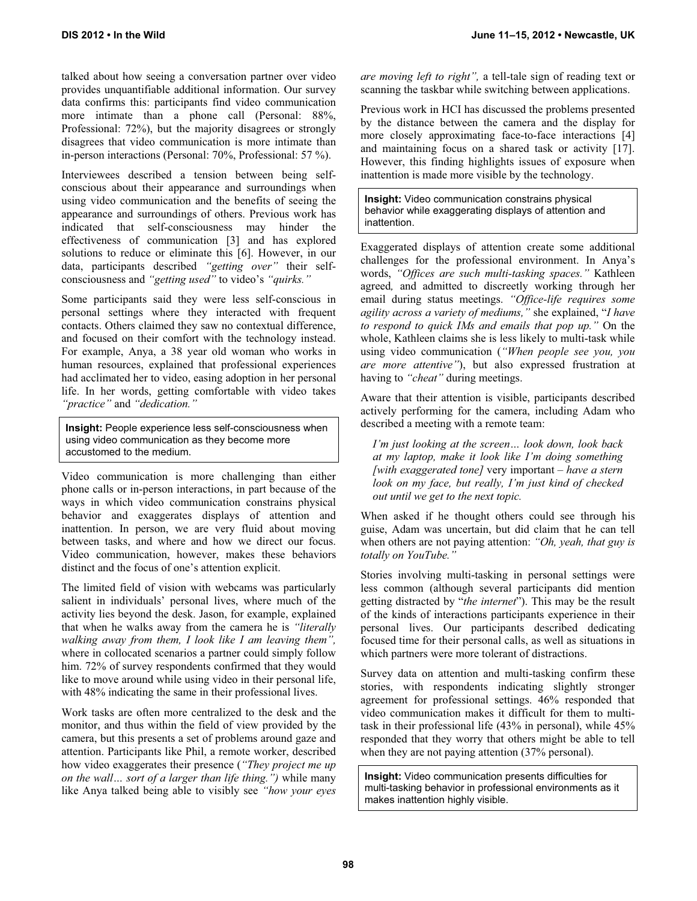talked about how seeing a conversation partner over video provides unquantifiable additional information. Our survey data confirms this: participants find video communication more intimate than a phone call (Personal: 88%, Professional: 72%), but the majority disagrees or strongly disagrees that video communication is more intimate than in-person interactions (Personal: 70%, Professional: 57 %).

Interviewees described a tension between being selfconscious about their appearance and surroundings when using video communication and the benefits of seeing the appearance and surroundings of others. Previous work has indicated that self-consciousness may hinder the effectiveness of communication [3] and has explored solutions to reduce or eliminate this [6]. However, in our data, participants described *"getting over"* their selfconsciousness and *"getting used"* to video's *"quirks."* 

Some participants said they were less self-conscious in personal settings where they interacted with frequent contacts. Others claimed they saw no contextual difference, and focused on their comfort with the technology instead. For example, Anya, a 38 year old woman who works in human resources, explained that professional experiences had acclimated her to video, easing adoption in her personal life. In her words, getting comfortable with video takes *"practice"* and *"dedication."*

**Insight:** People experience less self-consciousness when using video communication as they become more accustomed to the medium.

Video communication is more challenging than either phone calls or in-person interactions, in part because of the ways in which video communication constrains physical behavior and exaggerates displays of attention and inattention. In person, we are very fluid about moving between tasks, and where and how we direct our focus. Video communication, however, makes these behaviors distinct and the focus of one's attention explicit.

The limited field of vision with webcams was particularly salient in individuals' personal lives, where much of the activity lies beyond the desk. Jason, for example, explained that when he walks away from the camera he is *"literally walking away from them, I look like I am leaving them",* where in collocated scenarios a partner could simply follow him. 72% of survey respondents confirmed that they would like to move around while using video in their personal life, with 48% indicating the same in their professional lives.

Work tasks are often more centralized to the desk and the monitor, and thus within the field of view provided by the camera, but this presents a set of problems around gaze and attention. Participants like Phil, a remote worker, described how video exaggerates their presence (*"They project me up on the wall… sort of a larger than life thing.")* while many like Anya talked being able to visibly see *"how your eyes* 

*are moving left to right",* a tell-tale sign of reading text or scanning the taskbar while switching between applications.

Previous work in HCI has discussed the problems presented by the distance between the camera and the display for more closely approximating face-to-face interactions [4] and maintaining focus on a shared task or activity [17]. However, this finding highlights issues of exposure when inattention is made more visible by the technology.

**Insight:** Video communication constrains physical behavior while exaggerating displays of attention and inattention.

Exaggerated displays of attention create some additional challenges for the professional environment. In Anya's words, *"Offices are such multi-tasking spaces."* Kathleen agreed*,* and admitted to discreetly working through her email during status meetings. *"Office-life requires some agility across a variety of mediums,"* she explained, "*I have to respond to quick IMs and emails that pop up."* On the whole, Kathleen claims she is less likely to multi-task while using video communication (*"When people see you, you are more attentive"*), but also expressed frustration at having to *"cheat"* during meetings.

Aware that their attention is visible, participants described actively performing for the camera, including Adam who described a meeting with a remote team:

*I'm just looking at the screen… look down, look back at my laptop, make it look like I'm doing something [with exaggerated tone]* very important *– have a stern look on my face, but really, I'm just kind of checked out until we get to the next topic.* 

When asked if he thought others could see through his guise, Adam was uncertain, but did claim that he can tell when others are not paying attention: *"Oh, yeah, that guy is totally on YouTube."* 

Stories involving multi-tasking in personal settings were less common (although several participants did mention getting distracted by "*the internet*"). This may be the result of the kinds of interactions participants experience in their personal lives. Our participants described dedicating focused time for their personal calls, as well as situations in which partners were more tolerant of distractions.

Survey data on attention and multi-tasking confirm these stories, with respondents indicating slightly stronger agreement for professional settings. 46% responded that video communication makes it difficult for them to multitask in their professional life (43% in personal), while 45% responded that they worry that others might be able to tell when they are not paying attention (37% personal).

**Insight:** Video communication presents difficulties for multi-tasking behavior in professional environments as it makes inattention highly visible.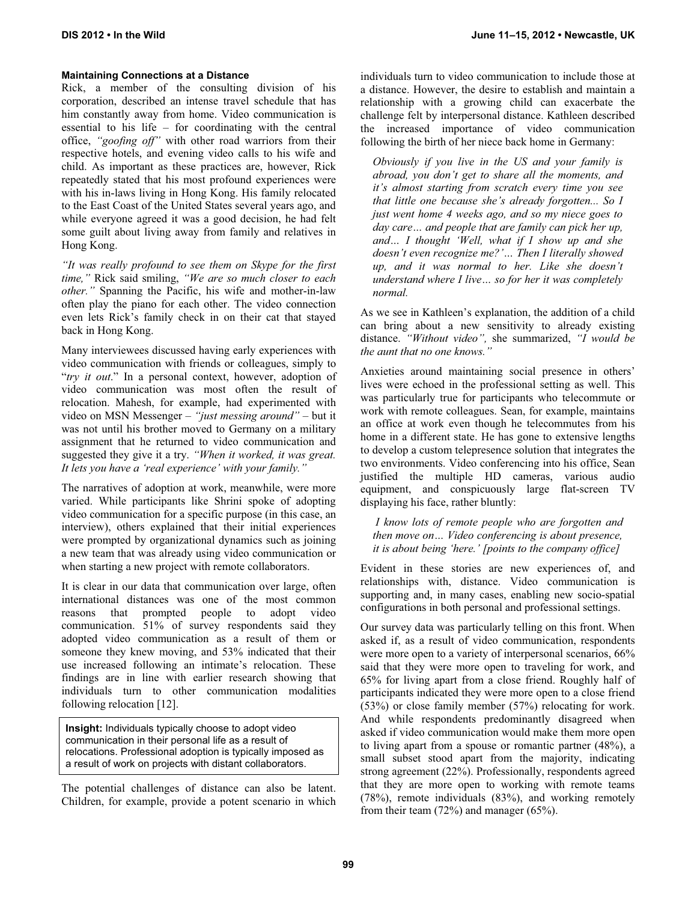## **Maintaining Connections at a Distance**

Rick, a member of the consulting division of his corporation, described an intense travel schedule that has him constantly away from home. Video communication is essential to his life – for coordinating with the central office, *"goofing off"* with other road warriors from their respective hotels, and evening video calls to his wife and child. As important as these practices are, however, Rick repeatedly stated that his most profound experiences were with his in-laws living in Hong Kong. His family relocated to the East Coast of the United States several years ago, and while everyone agreed it was a good decision, he had felt some guilt about living away from family and relatives in Hong Kong.

*"It was really profound to see them on Skype for the first time,"* Rick said smiling, *"We are so much closer to each other."* Spanning the Pacific, his wife and mother-in-law often play the piano for each other. The video connection even lets Rick's family check in on their cat that stayed back in Hong Kong.

Many interviewees discussed having early experiences with video communication with friends or colleagues, simply to "*try it out*." In a personal context, however, adoption of video communication was most often the result of relocation. Mahesh, for example, had experimented with video on MSN Messenger – *"just messing around"* – but it was not until his brother moved to Germany on a military assignment that he returned to video communication and suggested they give it a try. *"When it worked, it was great. It lets you have a 'real experience' with your family."*

The narratives of adoption at work, meanwhile, were more varied. While participants like Shrini spoke of adopting video communication for a specific purpose (in this case, an interview), others explained that their initial experiences were prompted by organizational dynamics such as joining a new team that was already using video communication or when starting a new project with remote collaborators.

It is clear in our data that communication over large, often international distances was one of the most common reasons that prompted people to adopt video communication. 51% of survey respondents said they adopted video communication as a result of them or someone they knew moving, and 53% indicated that their use increased following an intimate's relocation. These findings are in line with earlier research showing that individuals turn to other communication modalities following relocation [12].

**Insight:** Individuals typically choose to adopt video communication in their personal life as a result of relocations. Professional adoption is typically imposed as a result of work on projects with distant collaborators.

The potential challenges of distance can also be latent. Children, for example, provide a potent scenario in which individuals turn to video communication to include those at a distance. However, the desire to establish and maintain a relationship with a growing child can exacerbate the challenge felt by interpersonal distance. Kathleen described the increased importance of video communication following the birth of her niece back home in Germany:

*Obviously if you live in the US and your family is abroad, you don't get to share all the moments, and it's almost starting from scratch every time you see that little one because she's already forgotten... So I just went home 4 weeks ago, and so my niece goes to day care… and people that are family can pick her up, and… I thought 'Well, what if I show up and she doesn't even recognize me?'… Then I literally showed up, and it was normal to her. Like she doesn't understand where I live… so for her it was completely normal.* 

As we see in Kathleen's explanation, the addition of a child can bring about a new sensitivity to already existing distance. *"Without video",* she summarized, *"I would be the aunt that no one knows."*

Anxieties around maintaining social presence in others' lives were echoed in the professional setting as well. This was particularly true for participants who telecommute or work with remote colleagues. Sean, for example, maintains an office at work even though he telecommutes from his home in a different state. He has gone to extensive lengths to develop a custom telepresence solution that integrates the two environments. Video conferencing into his office, Sean justified the multiple HD cameras, various audio equipment, and conspicuously large flat-screen TV displaying his face, rather bluntly:

 *I know lots of remote people who are forgotten and then move on… Video conferencing is about presence, it is about being 'here.' [points to the company office]* 

Evident in these stories are new experiences of, and relationships with, distance. Video communication is supporting and, in many cases, enabling new socio-spatial configurations in both personal and professional settings.

Our survey data was particularly telling on this front. When asked if, as a result of video communication, respondents were more open to a variety of interpersonal scenarios, 66% said that they were more open to traveling for work, and 65% for living apart from a close friend. Roughly half of participants indicated they were more open to a close friend (53%) or close family member (57%) relocating for work. And while respondents predominantly disagreed when asked if video communication would make them more open to living apart from a spouse or romantic partner (48%), a small subset stood apart from the majority, indicating strong agreement (22%). Professionally, respondents agreed that they are more open to working with remote teams (78%), remote individuals (83%), and working remotely from their team (72%) and manager (65%).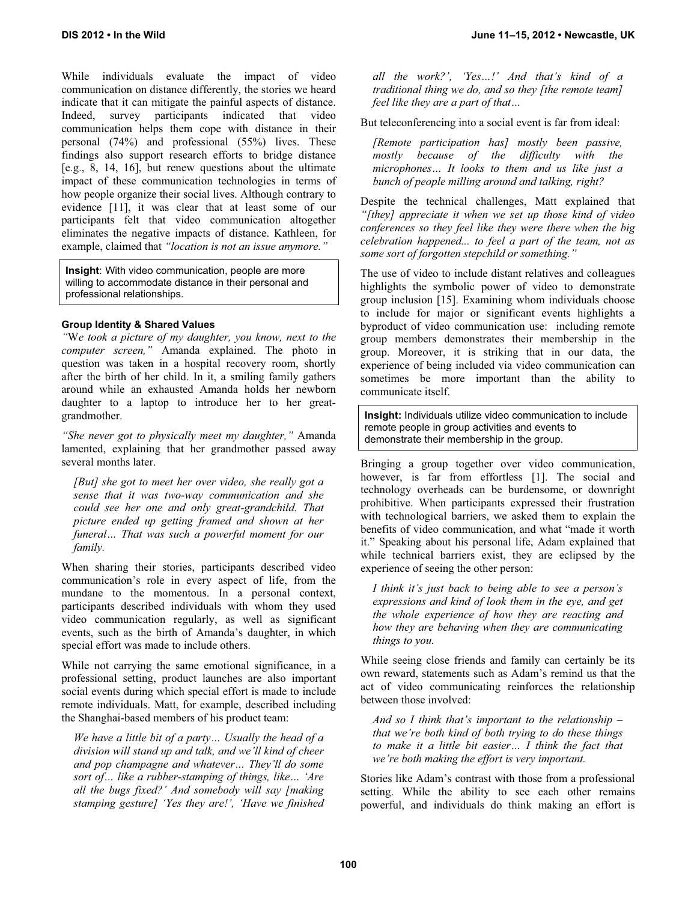While individuals evaluate the impact of video communication on distance differently, the stories we heard indicate that it can mitigate the painful aspects of distance. Indeed, survey participants indicated that video communication helps them cope with distance in their personal (74%) and professional (55%) lives. These findings also support research efforts to bridge distance [e.g., 8, 14, 16], but renew questions about the ultimate impact of these communication technologies in terms of how people organize their social lives. Although contrary to evidence [11], it was clear that at least some of our participants felt that video communication altogether eliminates the negative impacts of distance. Kathleen, for example, claimed that *"location is not an issue anymore."*

**Insight**: With video communication, people are more willing to accommodate distance in their personal and professional relationships.

# **Group Identity & Shared Values**

*"*W*e took a picture of my daughter, you know, next to the computer screen,"* Amanda explained. The photo in question was taken in a hospital recovery room, shortly after the birth of her child. In it, a smiling family gathers around while an exhausted Amanda holds her newborn daughter to a laptop to introduce her to her greatgrandmother.

*"She never got to physically meet my daughter,"* Amanda lamented, explaining that her grandmother passed away several months later.

*[But] she got to meet her over video, she really got a sense that it was two-way communication and she could see her one and only great-grandchild. That picture ended up getting framed and shown at her funeral… That was such a powerful moment for our family.* 

When sharing their stories, participants described video communication's role in every aspect of life, from the mundane to the momentous. In a personal context, participants described individuals with whom they used video communication regularly, as well as significant events, such as the birth of Amanda's daughter, in which special effort was made to include others.

While not carrying the same emotional significance, in a professional setting, product launches are also important social events during which special effort is made to include remote individuals. Matt, for example, described including the Shanghai-based members of his product team:

*We have a little bit of a party… Usually the head of a division will stand up and talk, and we'll kind of cheer and pop champagne and whatever… They'll do some sort of… like a rubber-stamping of things, like… 'Are all the bugs fixed?' And somebody will say [making stamping gesture] 'Yes they are!', 'Have we finished*  *all the work?', 'Yes…!' And that's kind of a traditional thing we do, and so they [the remote team] feel like they are a part of that…* 

But teleconferencing into a social event is far from ideal:

*[Remote participation has] mostly been passive, mostly because of the difficulty with the microphones… It looks to them and us like just a bunch of people milling around and talking, right?* 

Despite the technical challenges, Matt explained that *"[they] appreciate it when we set up those kind of video conferences so they feel like they were there when the big celebration happened... to feel a part of the team, not as some sort of forgotten stepchild or something."*

The use of video to include distant relatives and colleagues highlights the symbolic power of video to demonstrate group inclusion [15]. Examining whom individuals choose to include for major or significant events highlights a byproduct of video communication use: including remote group members demonstrates their membership in the group. Moreover, it is striking that in our data, the experience of being included via video communication can sometimes be more important than the ability to communicate itself.

**Insight:** Individuals utilize video communication to include remote people in group activities and events to demonstrate their membership in the group.

Bringing a group together over video communication, however, is far from effortless [1]. The social and technology overheads can be burdensome, or downright prohibitive. When participants expressed their frustration with technological barriers, we asked them to explain the benefits of video communication, and what "made it worth it." Speaking about his personal life, Adam explained that while technical barriers exist, they are eclipsed by the experience of seeing the other person:

*I think it's just back to being able to see a person's expressions and kind of look them in the eye, and get the whole experience of how they are reacting and how they are behaving when they are communicating things to you.* 

While seeing close friends and family can certainly be its own reward, statements such as Adam's remind us that the act of video communicating reinforces the relationship between those involved:

*And so I think that's important to the relationship – that we're both kind of both trying to do these things to make it a little bit easier… I think the fact that we're both making the effort is very important.* 

Stories like Adam's contrast with those from a professional setting. While the ability to see each other remains powerful, and individuals do think making an effort is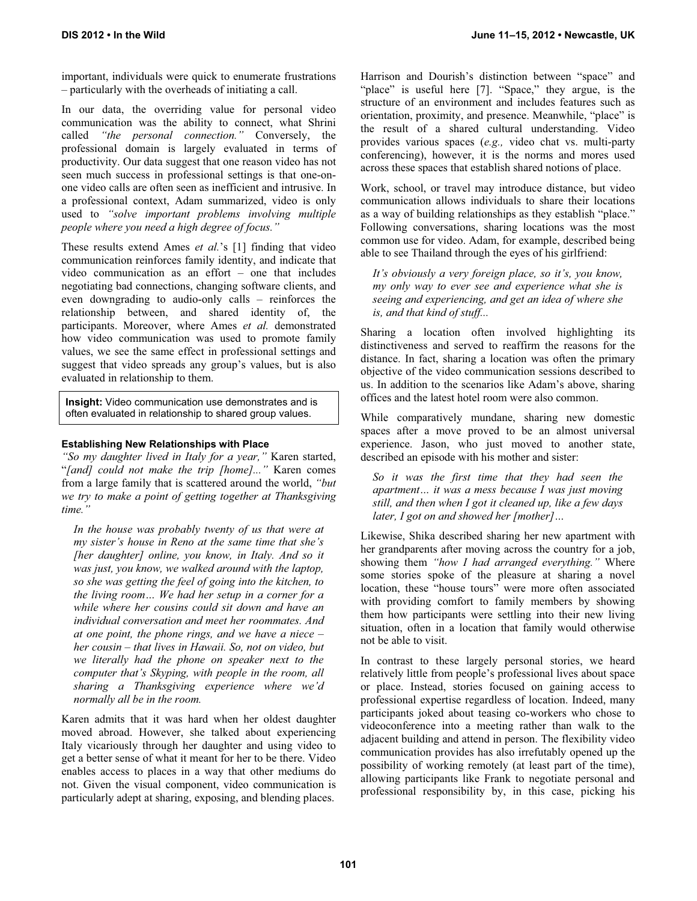important, individuals were quick to enumerate frustrations – particularly with the overheads of initiating a call.

In our data, the overriding value for personal video communication was the ability to connect, what Shrini called *"the personal connection."* Conversely, the professional domain is largely evaluated in terms of productivity. Our data suggest that one reason video has not seen much success in professional settings is that one-onone video calls are often seen as inefficient and intrusive. In a professional context, Adam summarized, video is only used to *"solve important problems involving multiple people where you need a high degree of focus."*

These results extend Ames *et al.*'s [1] finding that video communication reinforces family identity, and indicate that video communication as an effort – one that includes negotiating bad connections, changing software clients, and even downgrading to audio-only calls – reinforces the relationship between, and shared identity of, the participants. Moreover, where Ames *et al.* demonstrated how video communication was used to promote family values, we see the same effect in professional settings and suggest that video spreads any group's values, but is also evaluated in relationship to them.

**Insight:** Video communication use demonstrates and is often evaluated in relationship to shared group values.

## **Establishing New Relationships with Place**

*"So my daughter lived in Italy for a year,"* Karen started, "*[and] could not make the trip [home]..."* Karen comes from a large family that is scattered around the world, *"but we try to make a point of getting together at Thanksgiving time."*

*In the house was probably twenty of us that were at my sister's house in Reno at the same time that she's [her daughter] online, you know, in Italy. And so it was just, you know, we walked around with the laptop, so she was getting the feel of going into the kitchen, to the living room… We had her setup in a corner for a while where her cousins could sit down and have an individual conversation and meet her roommates. And at one point, the phone rings, and we have a niece – her cousin – that lives in Hawaii. So, not on video, but we literally had the phone on speaker next to the computer that's Skyping, with people in the room, all sharing a Thanksgiving experience where we'd normally all be in the room.* 

Karen admits that it was hard when her oldest daughter moved abroad. However, she talked about experiencing Italy vicariously through her daughter and using video to get a better sense of what it meant for her to be there. Video enables access to places in a way that other mediums do not. Given the visual component, video communication is particularly adept at sharing, exposing, and blending places.

Harrison and Dourish's distinction between "space" and "place" is useful here [7]. "Space," they argue, is the structure of an environment and includes features such as orientation, proximity, and presence. Meanwhile, "place" is the result of a shared cultural understanding. Video provides various spaces (*e.g.,* video chat vs. multi-party conferencing), however, it is the norms and mores used across these spaces that establish shared notions of place.

Work, school, or travel may introduce distance, but video communication allows individuals to share their locations as a way of building relationships as they establish "place." Following conversations, sharing locations was the most common use for video. Adam, for example, described being able to see Thailand through the eyes of his girlfriend:

*It's obviously a very foreign place, so it's, you know, my only way to ever see and experience what she is seeing and experiencing, and get an idea of where she is, and that kind of stuff...* 

Sharing a location often involved highlighting its distinctiveness and served to reaffirm the reasons for the distance. In fact, sharing a location was often the primary objective of the video communication sessions described to us. In addition to the scenarios like Adam's above, sharing offices and the latest hotel room were also common.

While comparatively mundane, sharing new domestic spaces after a move proved to be an almost universal experience. Jason, who just moved to another state, described an episode with his mother and sister:

*So it was the first time that they had seen the apartment… it was a mess because I was just moving still, and then when I got it cleaned up, like a few days later, I got on and showed her [mother]…* 

Likewise, Shika described sharing her new apartment with her grandparents after moving across the country for a job, showing them *"how I had arranged everything."* Where some stories spoke of the pleasure at sharing a novel location, these "house tours" were more often associated with providing comfort to family members by showing them how participants were settling into their new living situation, often in a location that family would otherwise not be able to visit.

In contrast to these largely personal stories, we heard relatively little from people's professional lives about space or place. Instead, stories focused on gaining access to professional expertise regardless of location. Indeed, many participants joked about teasing co-workers who chose to videoconference into a meeting rather than walk to the adjacent building and attend in person. The flexibility video communication provides has also irrefutably opened up the possibility of working remotely (at least part of the time), allowing participants like Frank to negotiate personal and professional responsibility by, in this case, picking his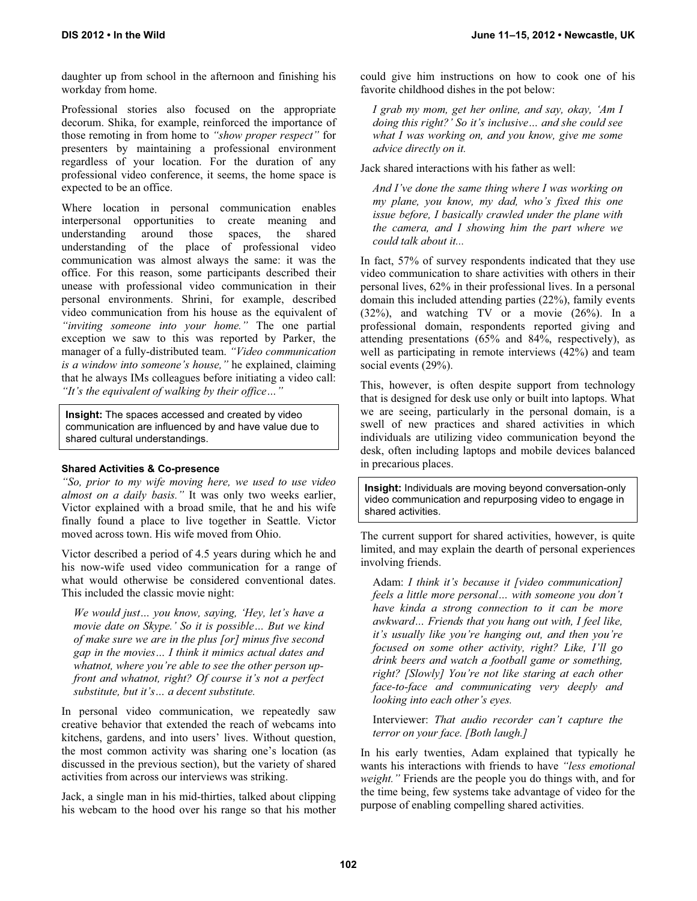daughter up from school in the afternoon and finishing his workday from home.

Professional stories also focused on the appropriate decorum. Shika, for example, reinforced the importance of those remoting in from home to *"show proper respect"* for presenters by maintaining a professional environment regardless of your location. For the duration of any professional video conference, it seems, the home space is expected to be an office.

Where location in personal communication enables interpersonal opportunities to create meaning and understanding around those spaces, the shared understanding of the place of professional video communication was almost always the same: it was the office. For this reason, some participants described their unease with professional video communication in their personal environments. Shrini, for example, described video communication from his house as the equivalent of *"inviting someone into your home."* The one partial exception we saw to this was reported by Parker, the manager of a fully-distributed team. *"Video communication is a window into someone's house,"* he explained, claiming that he always IMs colleagues before initiating a video call: *"It's the equivalent of walking by their office…"* 

**Insight:** The spaces accessed and created by video communication are influenced by and have value due to shared cultural understandings.

# **Shared Activities & Co-presence**

*"So, prior to my wife moving here, we used to use video almost on a daily basis."* It was only two weeks earlier, Victor explained with a broad smile, that he and his wife finally found a place to live together in Seattle. Victor moved across town. His wife moved from Ohio.

Victor described a period of 4.5 years during which he and his now-wife used video communication for a range of what would otherwise be considered conventional dates. This included the classic movie night:

*We would just… you know, saying, 'Hey, let's have a movie date on Skype.' So it is possible… But we kind of make sure we are in the plus [or] minus five second gap in the movies… I think it mimics actual dates and whatnot, where you're able to see the other person upfront and whatnot, right? Of course it's not a perfect substitute, but it's… a decent substitute.* 

In personal video communication, we repeatedly saw creative behavior that extended the reach of webcams into kitchens, gardens, and into users' lives. Without question, the most common activity was sharing one's location (as discussed in the previous section), but the variety of shared activities from across our interviews was striking.

Jack, a single man in his mid-thirties, talked about clipping his webcam to the hood over his range so that his mother could give him instructions on how to cook one of his favorite childhood dishes in the pot below:

*I grab my mom, get her online, and say, okay, 'Am I doing this right?' So it's inclusive… and she could see what I was working on, and you know, give me some advice directly on it.* 

Jack shared interactions with his father as well:

*And I've done the same thing where I was working on my plane, you know, my dad, who's fixed this one issue before, I basically crawled under the plane with the camera, and I showing him the part where we could talk about it...* 

In fact, 57% of survey respondents indicated that they use video communication to share activities with others in their personal lives, 62% in their professional lives. In a personal domain this included attending parties (22%), family events (32%), and watching TV or a movie (26%). In a professional domain, respondents reported giving and attending presentations (65% and 84%, respectively), as well as participating in remote interviews (42%) and team social events (29%).

This, however, is often despite support from technology that is designed for desk use only or built into laptops. What we are seeing, particularly in the personal domain, is a swell of new practices and shared activities in which individuals are utilizing video communication beyond the desk, often including laptops and mobile devices balanced in precarious places.

**Insight:** Individuals are moving beyond conversation-only video communication and repurposing video to engage in shared activities.

The current support for shared activities, however, is quite limited, and may explain the dearth of personal experiences involving friends.

Adam: *I think it's because it [video communication] feels a little more personal… with someone you don't have kinda a strong connection to it can be more awkward… Friends that you hang out with, I feel like, it's usually like you're hanging out, and then you're focused on some other activity, right? Like, I'll go drink beers and watch a football game or something, right? [Slowly] You're not like staring at each other face-to-face and communicating very deeply and looking into each other's eyes.* 

Interviewer: *That audio recorder can't capture the terror on your face. [Both laugh.]* 

In his early twenties, Adam explained that typically he wants his interactions with friends to have *"less emotional weight."* Friends are the people you do things with, and for the time being, few systems take advantage of video for the purpose of enabling compelling shared activities.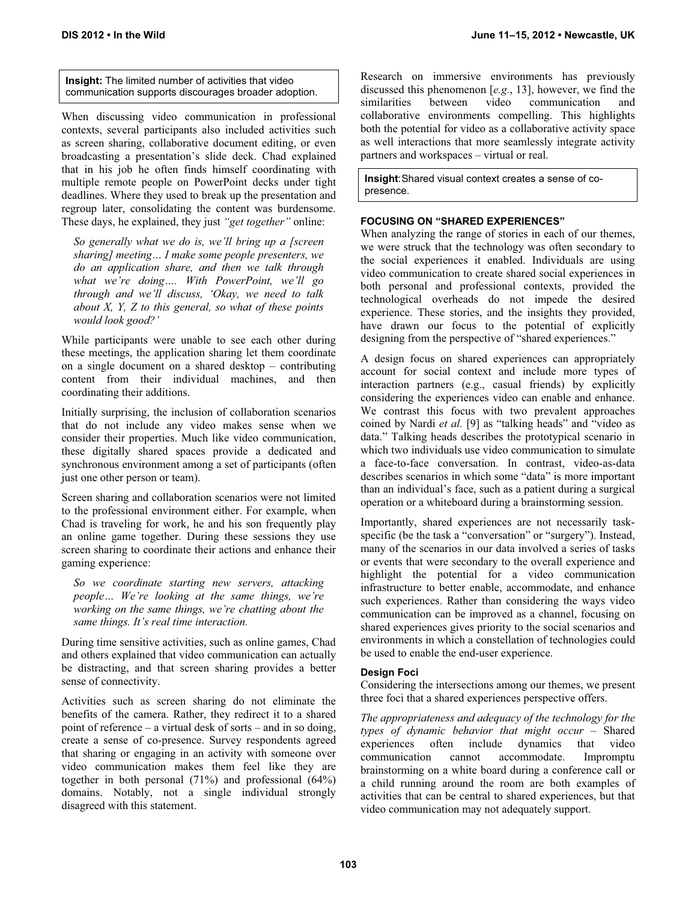**Insight:** The limited number of activities that video communication supports discourages broader adoption.

When discussing video communication in professional contexts, several participants also included activities such as screen sharing, collaborative document editing, or even broadcasting a presentation's slide deck. Chad explained that in his job he often finds himself coordinating with multiple remote people on PowerPoint decks under tight deadlines. Where they used to break up the presentation and regroup later, consolidating the content was burdensome. These days, he explained, they just *"get together"* online:

*So generally what we do is, we'll bring up a [screen sharing] meeting… I make some people presenters, we do an application share, and then we talk through what we're doing…. With PowerPoint, we'll go through and we'll discuss, 'Okay, we need to talk about X, Y, Z to this general, so what of these points would look good?'* 

While participants were unable to see each other during these meetings, the application sharing let them coordinate on a single document on a shared desktop – contributing content from their individual machines, and then coordinating their additions.

Initially surprising, the inclusion of collaboration scenarios that do not include any video makes sense when we consider their properties. Much like video communication, these digitally shared spaces provide a dedicated and synchronous environment among a set of participants (often just one other person or team).

Screen sharing and collaboration scenarios were not limited to the professional environment either. For example, when Chad is traveling for work, he and his son frequently play an online game together. During these sessions they use screen sharing to coordinate their actions and enhance their gaming experience:

*So we coordinate starting new servers, attacking people… We're looking at the same things, we're working on the same things, we're chatting about the same things. It's real time interaction.* 

During time sensitive activities, such as online games, Chad and others explained that video communication can actually be distracting, and that screen sharing provides a better sense of connectivity.

Activities such as screen sharing do not eliminate the benefits of the camera. Rather, they redirect it to a shared point of reference – a virtual desk of sorts – and in so doing, create a sense of co-presence. Survey respondents agreed that sharing or engaging in an activity with someone over video communication makes them feel like they are together in both personal (71%) and professional (64%) domains. Notably, not a single individual strongly disagreed with this statement.

Research on immersive environments has previously discussed this phenomenon [*e.g.*, 13], however, we find the similarities between video communication and collaborative environments compelling. This highlights both the potential for video as a collaborative activity space as well interactions that more seamlessly integrate activity partners and workspaces – virtual or real.

**Insight**: Shared visual context creates a sense of copresence.

## **FOCUSING ON "SHARED EXPERIENCES"**

When analyzing the range of stories in each of our themes, we were struck that the technology was often secondary to the social experiences it enabled. Individuals are using video communication to create shared social experiences in both personal and professional contexts, provided the technological overheads do not impede the desired experience. These stories, and the insights they provided, have drawn our focus to the potential of explicitly designing from the perspective of "shared experiences."

A design focus on shared experiences can appropriately account for social context and include more types of interaction partners (e.g., casual friends) by explicitly considering the experiences video can enable and enhance. We contrast this focus with two prevalent approaches coined by Nardi *et al.* [9] as "talking heads" and "video as data." Talking heads describes the prototypical scenario in which two individuals use video communication to simulate a face-to-face conversation. In contrast, video-as-data describes scenarios in which some "data" is more important than an individual's face, such as a patient during a surgical operation or a whiteboard during a brainstorming session.

Importantly, shared experiences are not necessarily taskspecific (be the task a "conversation" or "surgery"). Instead, many of the scenarios in our data involved a series of tasks or events that were secondary to the overall experience and highlight the potential for a video communication infrastructure to better enable, accommodate, and enhance such experiences. Rather than considering the ways video communication can be improved as a channel, focusing on shared experiences gives priority to the social scenarios and environments in which a constellation of technologies could be used to enable the end-user experience.

#### **Design Foci**

Considering the intersections among our themes, we present three foci that a shared experiences perspective offers.

*The appropriateness and adequacy of the technology for the types of dynamic behavior that might occur –* Shared experiences often include communication cannot accommodate. Impromptu brainstorming on a white board during a conference call or a child running around the room are both examples of activities that can be central to shared experiences, but that video communication may not adequately support.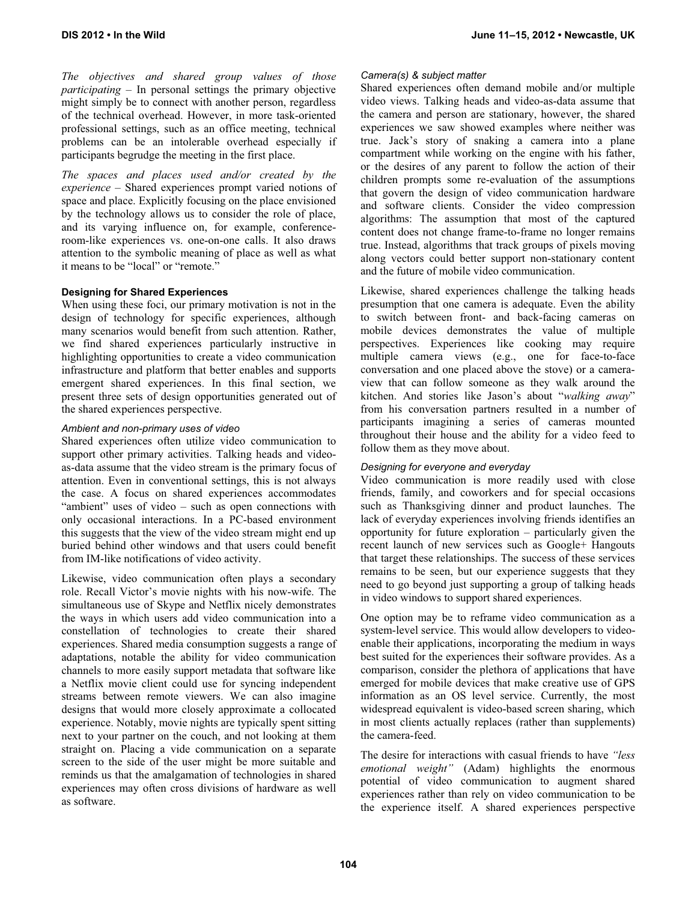*The objectives and shared group values of those participating –* In personal settings the primary objective might simply be to connect with another person, regardless of the technical overhead. However, in more task-oriented professional settings, such as an office meeting, technical problems can be an intolerable overhead especially if participants begrudge the meeting in the first place.

*The spaces and places used and/or created by the experience –* Shared experiences prompt varied notions of space and place. Explicitly focusing on the place envisioned by the technology allows us to consider the role of place, and its varying influence on, for example, conferenceroom-like experiences vs. one-on-one calls. It also draws attention to the symbolic meaning of place as well as what it means to be "local" or "remote."

## **Designing for Shared Experiences**

When using these foci, our primary motivation is not in the design of technology for specific experiences, although many scenarios would benefit from such attention. Rather, we find shared experiences particularly instructive in highlighting opportunities to create a video communication infrastructure and platform that better enables and supports emergent shared experiences. In this final section, we present three sets of design opportunities generated out of the shared experiences perspective.

# *Ambient and non-primary uses of video*

Shared experiences often utilize video communication to support other primary activities. Talking heads and videoas-data assume that the video stream is the primary focus of attention. Even in conventional settings, this is not always the case. A focus on shared experiences accommodates "ambient" uses of video – such as open connections with only occasional interactions. In a PC-based environment this suggests that the view of the video stream might end up buried behind other windows and that users could benefit from IM-like notifications of video activity.

Likewise, video communication often plays a secondary role. Recall Victor's movie nights with his now-wife. The simultaneous use of Skype and Netflix nicely demonstrates the ways in which users add video communication into a constellation of technologies to create their shared experiences. Shared media consumption suggests a range of adaptations, notable the ability for video communication channels to more easily support metadata that software like a Netflix movie client could use for syncing independent streams between remote viewers. We can also imagine designs that would more closely approximate a collocated experience. Notably, movie nights are typically spent sitting next to your partner on the couch, and not looking at them straight on. Placing a vide communication on a separate screen to the side of the user might be more suitable and reminds us that the amalgamation of technologies in shared experiences may often cross divisions of hardware as well as software.

## *Camera(s) & subject matter*

Shared experiences often demand mobile and/or multiple video views. Talking heads and video-as-data assume that the camera and person are stationary, however, the shared experiences we saw showed examples where neither was true. Jack's story of snaking a camera into a plane compartment while working on the engine with his father, or the desires of any parent to follow the action of their children prompts some re-evaluation of the assumptions that govern the design of video communication hardware and software clients. Consider the video compression algorithms: The assumption that most of the captured content does not change frame-to-frame no longer remains true. Instead, algorithms that track groups of pixels moving along vectors could better support non-stationary content and the future of mobile video communication.

Likewise, shared experiences challenge the talking heads presumption that one camera is adequate. Even the ability to switch between front- and back-facing cameras on mobile devices demonstrates the value of multiple perspectives. Experiences like cooking may require multiple camera views (e.g., one for face-to-face conversation and one placed above the stove) or a cameraview that can follow someone as they walk around the kitchen. And stories like Jason's about "*walking away*" from his conversation partners resulted in a number of participants imagining a series of cameras mounted throughout their house and the ability for a video feed to follow them as they move about.

## *Designing for everyone and everyday*

Video communication is more readily used with close friends, family, and coworkers and for special occasions such as Thanksgiving dinner and product launches. The lack of everyday experiences involving friends identifies an opportunity for future exploration – particularly given the recent launch of new services such as Google+ Hangouts that target these relationships. The success of these services remains to be seen, but our experience suggests that they need to go beyond just supporting a group of talking heads in video windows to support shared experiences.

One option may be to reframe video communication as a system-level service. This would allow developers to videoenable their applications, incorporating the medium in ways best suited for the experiences their software provides. As a comparison, consider the plethora of applications that have emerged for mobile devices that make creative use of GPS information as an OS level service. Currently, the most widespread equivalent is video-based screen sharing, which in most clients actually replaces (rather than supplements) the camera-feed.

The desire for interactions with casual friends to have *"less emotional weight"* (Adam) highlights the enormous potential of video communication to augment shared experiences rather than rely on video communication to be the experience itself. A shared experiences perspective